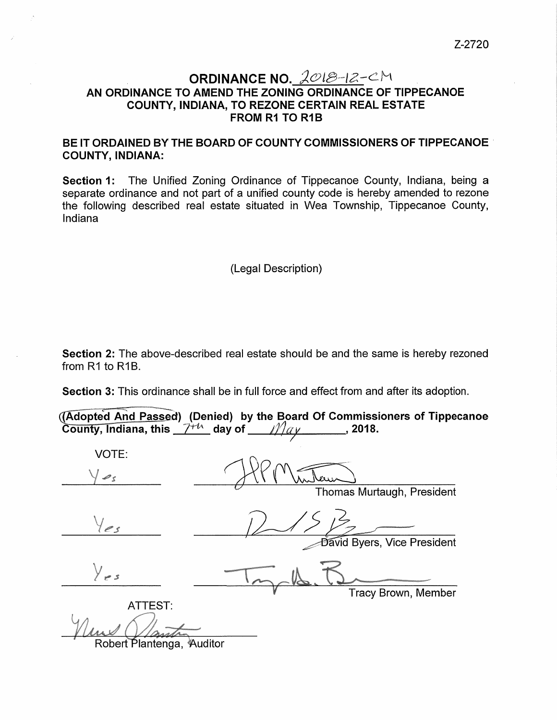## ORDINANCE NO.  $2018-12-CM$ AN ORDINANCE TO AMEND THE ZONING ORDINANCE OF TIPPECANOE COUNTY, INDIANA, TO REZONE CERTAIN REAL ESTATE **FROM R1 TO R1B**

## BE IT ORDAINED BY THE BOARD OF COUNTY COMMISSIONERS OF TIPPECANOE COUNTY, INDIANA:

Section 1: The Unified Zoning Ordinance of Tippecanoe County, Indiana, being a separate ordinance and not part of a unified county code is hereby amended to rezone the following described real estate situated in Wea Township, Tippecanoe County, Indiana

(Legal Description)

Section 2: The above-described real estate should be and the same is hereby rezoned from  $R1$  to  $R1B$ .

|                                                        | <b>Section 3:</b> This ordinance shall be in full force and effect from and after its adoption. |  |
|--------------------------------------------------------|-------------------------------------------------------------------------------------------------|--|
| County, Indiana, this $7^{+\prime\prime}$ day of $May$ | (Adopted And Passed) (Denied) by the Board Of Commissioners of Tippecanoe<br>.2018.             |  |

| VOTE:                     |                             |
|---------------------------|-----------------------------|
| $\mathcal{L}_{S}$         |                             |
|                           | Thomas Murtaugh, President  |
| les                       |                             |
|                           | David Byers, Vice President |
| $\bigvee_{x}$ s           |                             |
| ATTEST:                   | Tracy Brown, Member         |
|                           |                             |
| Robert Plantenga, Auditor |                             |